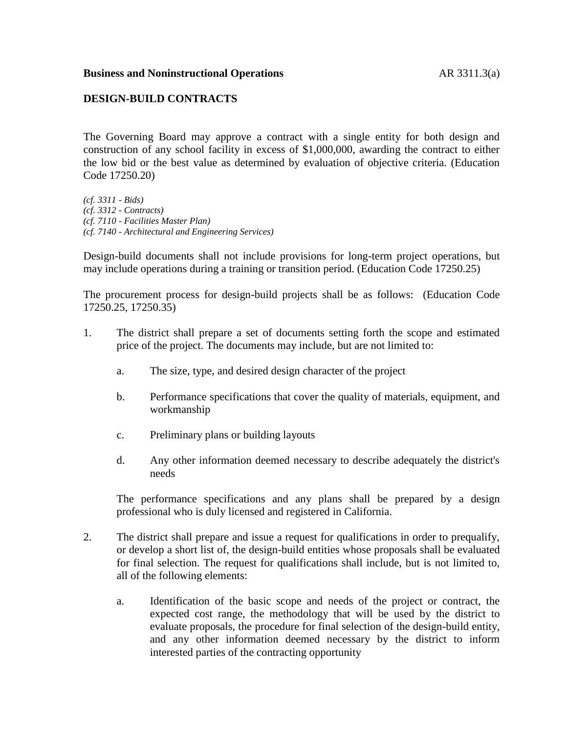## **Business and Noninstructional Operations AR 3311.3(a)**

## **DESIGN-BUILD CONTRACTS**

The Governing Board may approve a contract with a single entity for both design and construction of any school facility in excess of \$1,000,000, awarding the contract to either the low bid or the best value as determined by evaluation of objective criteria. (Education Code 17250.20)

*(cf. 3311 - Bids) (cf. 3312 - Contracts) (cf. 7110 - Facilities Master Plan) (cf. 7140 - Architectural and Engineering Services)*

Design-build documents shall not include provisions for long-term project operations, but may include operations during a training or transition period. (Education Code 17250.25)

The procurement process for design-build projects shall be as follows: (Education Code 17250.25, 17250.35)

- 1. The district shall prepare a set of documents setting forth the scope and estimated price of the project. The documents may include, but are not limited to:
	- a. The size, type, and desired design character of the project
	- b. Performance specifications that cover the quality of materials, equipment, and workmanship
	- c. Preliminary plans or building layouts
	- d. Any other information deemed necessary to describe adequately the district's needs

The performance specifications and any plans shall be prepared by a design professional who is duly licensed and registered in California.

- 2. The district shall prepare and issue a request for qualifications in order to prequalify, or develop a short list of, the design-build entities whose proposals shall be evaluated for final selection. The request for qualifications shall include, but is not limited to, all of the following elements:
	- a. Identification of the basic scope and needs of the project or contract, the expected cost range, the methodology that will be used by the district to evaluate proposals, the procedure for final selection of the design-build entity, and any other information deemed necessary by the district to inform interested parties of the contracting opportunity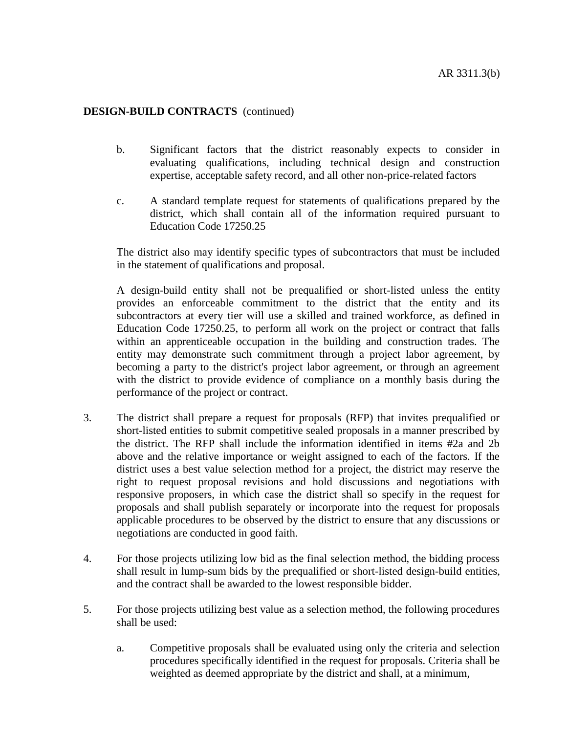## **DESIGN-BUILD CONTRACTS** (continued)

- b. Significant factors that the district reasonably expects to consider in evaluating qualifications, including technical design and construction expertise, acceptable safety record, and all other non-price-related factors
- c. A standard template request for statements of qualifications prepared by the district, which shall contain all of the information required pursuant to Education Code 17250.25

The district also may identify specific types of subcontractors that must be included in the statement of qualifications and proposal.

A design-build entity shall not be prequalified or short-listed unless the entity provides an enforceable commitment to the district that the entity and its subcontractors at every tier will use a skilled and trained workforce, as defined in Education Code 17250.25, to perform all work on the project or contract that falls within an apprenticeable occupation in the building and construction trades. The entity may demonstrate such commitment through a project labor agreement, by becoming a party to the district's project labor agreement, or through an agreement with the district to provide evidence of compliance on a monthly basis during the performance of the project or contract.

- 3. The district shall prepare a request for proposals (RFP) that invites prequalified or short-listed entities to submit competitive sealed proposals in a manner prescribed by the district. The RFP shall include the information identified in items #2a and 2b above and the relative importance or weight assigned to each of the factors. If the district uses a best value selection method for a project, the district may reserve the right to request proposal revisions and hold discussions and negotiations with responsive proposers, in which case the district shall so specify in the request for proposals and shall publish separately or incorporate into the request for proposals applicable procedures to be observed by the district to ensure that any discussions or negotiations are conducted in good faith.
- 4. For those projects utilizing low bid as the final selection method, the bidding process shall result in lump-sum bids by the prequalified or short-listed design-build entities, and the contract shall be awarded to the lowest responsible bidder.
- 5. For those projects utilizing best value as a selection method, the following procedures shall be used:
	- a. Competitive proposals shall be evaluated using only the criteria and selection procedures specifically identified in the request for proposals. Criteria shall be weighted as deemed appropriate by the district and shall, at a minimum,